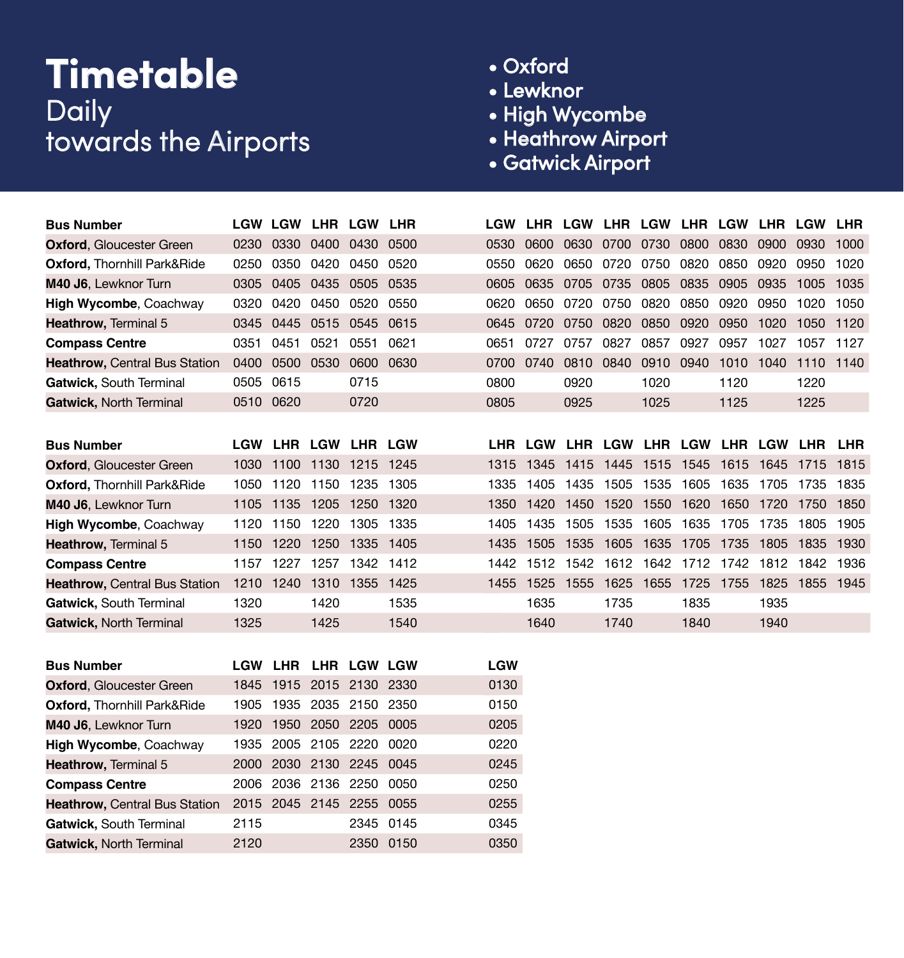## **Timetable** Daily towards the Airports

- Oxford
- Lewknor
- High Wycombe
- Heathrow Airport
- Gatwick Airport

| <b>Bus Number</b>                      |      |           |      | <b>LGW LGW LHR LGW LHR</b> |           |            |           |                                     |      |                     |      |                               |      | LGW LHR LGW LHR LGW LHR LGW LHR LGW LHR |       |
|----------------------------------------|------|-----------|------|----------------------------|-----------|------------|-----------|-------------------------------------|------|---------------------|------|-------------------------------|------|-----------------------------------------|-------|
| <b>Oxford, Gloucester Green</b>        | 0230 | 0330      | 0400 | 0430                       | 0500      | 0530       | 0600      | 0630                                | 0700 | 0730                | 0800 | 0830                          | 0900 | 0930                                    | 1000  |
| <b>Oxford, Thornhill Park&amp;Ride</b> | 0250 |           |      | 0350 0420 0450 0520        |           | 0550       | 0620      | 0650                                |      | 0720 0750 0820 0850 |      |                               | 0920 | 0950                                    | 1020  |
| M40 J6, Lewknor Turn                   | 0305 | 0405      | 0435 | 0505 0535                  |           | 0605       | 0635      | 0705                                | 0735 | 0805                | 0835 | 0905                          | 0935 | 1005                                    | 1035  |
| High Wycombe, Coachway                 | 0320 | 0420      | 0450 | 0520 0550                  |           | 0620       | 0650      | 0720                                | 0750 | 0820                | 0850 | 0920                          | 0950 | 1020                                    | 1050  |
| Heathrow, Terminal 5                   | 0345 | 0445      |      | 0515 0545 0615             |           | 0645       | 0720      | 0750                                | 0820 | 0850                | 0920 | 0950                          | 1020 | 1050                                    | 1120  |
| <b>Compass Centre</b>                  | 0351 | 0451      | 0521 | 0551                       | 0621      | 0651       | 0727      | 0757                                | 0827 | 0857                | 0927 | 0957                          | 1027 | 1057                                    | 1127  |
| <b>Heathrow, Central Bus Station</b>   | 0400 | 0500 0530 |      | 0600 0630                  |           | 0700       | 0740      | 0810                                | 0840 | 0910 0940           |      | 1010 1040                     |      | 1110 1140                               |       |
| Gatwick, South Terminal                | 0505 | 0615      |      | 0715                       |           | 0800       |           | 0920                                |      | 1020                |      | 1120                          |      | 1220                                    |       |
| Gatwick, North Terminal                |      | 0510 0620 |      | 0720                       |           | 0805       |           | 0925                                |      | 1025                |      | 1125                          |      | 1225                                    |       |
|                                        |      |           |      |                            |           |            |           |                                     |      |                     |      |                               |      |                                         |       |
| <b>Bus Number</b>                      |      |           |      | LGW LHR LGW LHR LGW        |           |            |           | LHR LGW LHR LGW LHR LGW LHR LGW LHR |      |                     |      |                               |      |                                         | LHR   |
| <b>Oxford, Gloucester Green</b>        |      |           |      | 1030 1100 1130 1215 1245   |           | 1315       | 1345      | 1415                                |      |                     |      | 1445 1515 1545 1615 1645      |      | 1715                                    | 1815  |
| <b>Oxford, Thornhill Park&amp;Ride</b> | 1050 | 1120      | 1150 | 1235                       | 1305      | 1335       | 1405      | 1435                                | 1505 | 1535                | 1605 | 1635                          | 1705 | 1735                                    | 1835  |
| M40 J6, Lewknor Turn                   | 1105 |           |      | 1135 1205 1250 1320        |           | 1350       | 1420      | 1450                                |      |                     |      | 1520 1550 1620 1650 1720 1750 |      |                                         | 1850  |
| High Wycombe, Coachway                 | 1120 | 1150      | 1220 | 1305 1335                  |           | 1405       | 1435      | 1505                                |      | 1535 1605 1635 1705 |      |                               | 1735 | 1805                                    | 1905  |
| Heathrow, Terminal 5                   | 1150 |           |      | 1220 1250 1335 1405        |           | 1435       | 1505      | 1535                                |      |                     |      | 1605 1635 1705 1735 1805      |      | 1835 1930                               |       |
| <b>Compass Centre</b>                  | 1157 | 1227      | 1257 | 1342 1412                  |           | 1442       |           | 1512 1542                           |      |                     |      | 1612 1642 1712 1742 1812 1842 |      |                                         | 1936  |
| <b>Heathrow, Central Bus Station</b>   |      |           |      | 1210 1240 1310 1355 1425   |           | 1455       | 1525 1555 |                                     |      |                     |      | 1625 1655 1725 1755 1825 1855 |      |                                         | -1945 |
| Gatwick, South Terminal                | 1320 |           | 1420 |                            | 1535      |            | 1635      |                                     | 1735 |                     | 1835 |                               | 1935 |                                         |       |
| Gatwick, North Terminal                | 1325 |           | 1425 |                            | 1540      |            | 1640      |                                     | 1740 |                     | 1840 |                               | 1940 |                                         |       |
|                                        |      |           |      |                            |           |            |           |                                     |      |                     |      |                               |      |                                         |       |
| <b>Bus Number</b>                      |      |           |      | LGW LHR LHR LGW LGW        |           | <b>LGW</b> |           |                                     |      |                     |      |                               |      |                                         |       |
| <b>Oxford, Gloucester Green</b>        |      |           |      | 1845 1915 2015 2130 2330   |           | 0130       |           |                                     |      |                     |      |                               |      |                                         |       |
| <b>Oxford, Thornhill Park&amp;Ride</b> | 1905 |           |      | 1935 2035 2150 2350        |           | 0150       |           |                                     |      |                     |      |                               |      |                                         |       |
| M40 J6, Lewknor Turn                   | 1920 |           |      | 1950 2050 2205 0005        |           | 0205       |           |                                     |      |                     |      |                               |      |                                         |       |
| High Wycombe, Coachway                 | 1935 | 2005      |      | 2105 2220                  | 0020      | 0220       |           |                                     |      |                     |      |                               |      |                                         |       |
| Heathrow, Terminal 5                   |      |           |      | 2000 2030 2130 2245        | 0045      | 0245       |           |                                     |      |                     |      |                               |      |                                         |       |
| <b>Compass Centre</b>                  |      |           |      | 2006 2036 2136 2250 0050   |           | 0250       |           |                                     |      |                     |      |                               |      |                                         |       |
| <b>Heathrow, Central Bus Station</b>   |      |           |      | 2015 2045 2145 2255        | 0055      | 0255       |           |                                     |      |                     |      |                               |      |                                         |       |
| Gatwick, South Terminal                | 2115 |           |      |                            | 2345 0145 | 0345       |           |                                     |      |                     |      |                               |      |                                         |       |
| Gatwick, North Terminal                | 2120 |           |      | 2350 0150                  |           | 0350       |           |                                     |      |                     |      |                               |      |                                         |       |